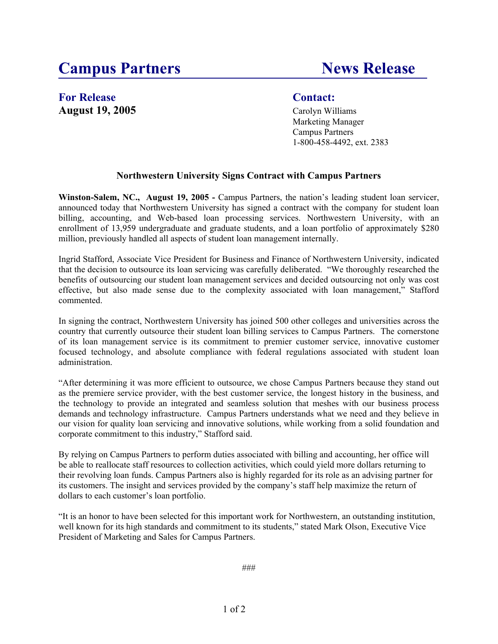# **Campus Partners News Release**

# For Release Contact: **August 19, 2005** Carolyn Williams

Marketing Manager Campus Partners 1-800-458-4492, ext. 2383

# **Northwestern University Signs Contract with Campus Partners**

**Winston-Salem, NC., August 19, 2005 -** Campus Partners, the nation's leading student loan servicer, announced today that Northwestern University has signed a contract with the company for student loan billing, accounting, and Web-based loan processing services. Northwestern University, with an enrollment of 13,959 undergraduate and graduate students, and a loan portfolio of approximately \$280 million, previously handled all aspects of student loan management internally.

Ingrid Stafford, Associate Vice President for Business and Finance of Northwestern University, indicated that the decision to outsource its loan servicing was carefully deliberated. "We thoroughly researched the benefits of outsourcing our student loan management services and decided outsourcing not only was cost effective, but also made sense due to the complexity associated with loan management," Stafford commented.

In signing the contract, Northwestern University has joined 500 other colleges and universities across the country that currently outsource their student loan billing services to Campus Partners. The cornerstone of its loan management service is its commitment to premier customer service, innovative customer focused technology, and absolute compliance with federal regulations associated with student loan administration.

"After determining it was more efficient to outsource, we chose Campus Partners because they stand out as the premiere service provider, with the best customer service, the longest history in the business, and the technology to provide an integrated and seamless solution that meshes with our business process demands and technology infrastructure. Campus Partners understands what we need and they believe in our vision for quality loan servicing and innovative solutions, while working from a solid foundation and corporate commitment to this industry," Stafford said.

By relying on Campus Partners to perform duties associated with billing and accounting, her office will be able to reallocate staff resources to collection activities, which could yield more dollars returning to their revolving loan funds. Campus Partners also is highly regarded for its role as an advising partner for its customers. The insight and services provided by the company's staff help maximize the return of dollars to each customer's loan portfolio.

"It is an honor to have been selected for this important work for Northwestern, an outstanding institution, well known for its high standards and commitment to its students," stated Mark Olson, Executive Vice President of Marketing and Sales for Campus Partners.

###